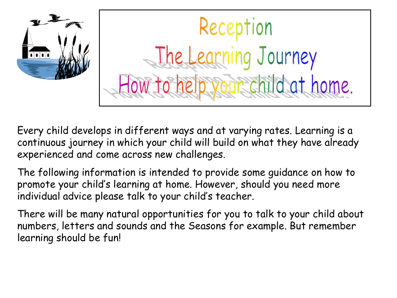

Every child develops in different ways and at varying rates. Learning is a continuous journey in which your child will build on what they have already experienced and come across new challenges.

The following information is intended to provide some guidance on how to promote your child's learning at home. However, should you need more individual advice please talk to your child's teacher.

There will be many natural opportunities for you to talk to your child about numbers, letters and sounds and the Seasons for example. But remember learning should be fun!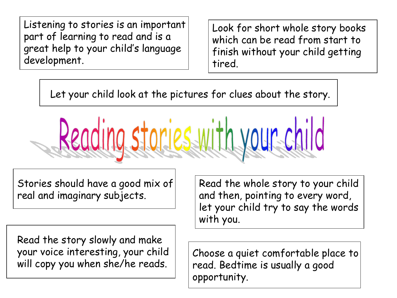Listening to stories is an important part of learning to read and is a great help to your child's language development.

Look for short whole story books which can be read from start to finish without your child getting tired.

Let your child look at the pictures for clues about the story.

Reading stories with your child

Stories should have a good mix of real and imaginary subjects.

Read the story slowly and make your voice interesting, your child will copy you when she/he reads.

Read the whole story to your child and then, pointing to every word, let your child try to say the words with you.

Choose a quiet comfortable place to read. Bedtime is usually a good opportunity.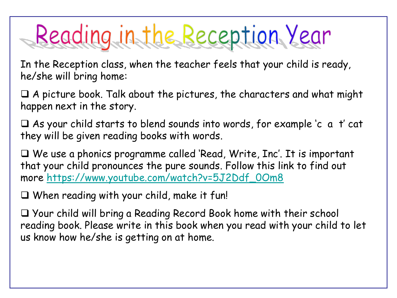## Reading in the Reception Year

In the Reception class, when the teacher feels that your child is ready, he/she will bring home:

❑ A picture book. Talk about the pictures, the characters and what might happen next in the story.

❑ As your child starts to blend sounds into words, for example 'c a t' cat they will be given reading books with words.

❑ We use a phonics programme called 'Read, Write, Inc'. It is important that your child pronounces the pure sounds. Follow this link to find out more [https://www.youtube.com/watch?v=5J2Ddf\\_0Om8](https://www.youtube.com/watch?v=5J2Ddf_0Om8)

❑ When reading with your child, make it fun!

❑ Your child will bring a Reading Record Book home with their school reading book. Please write in this book when you read with your child to let us know how he/she is getting on at home.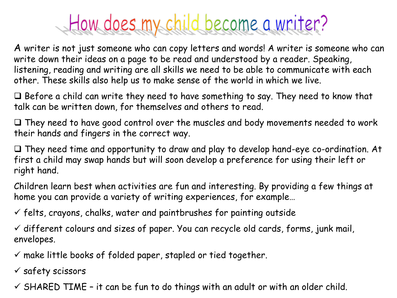## How does my child become a writer?

A writer is not just someone who can copy letters and words! A writer is someone who can write down their ideas on a page to be read and understood by a reader. Speaking, listening, reading and writing are all skills we need to be able to communicate with each other. These skills also help us to make sense of the world in which we live.

❑ Before a child can write they need to have something to say. They need to know that talk can be written down, for themselves and others to read.

❑ They need to have good control over the muscles and body movements needed to work their hands and fingers in the correct way.

❑ They need time and opportunity to draw and play to develop hand-eye co-ordination. At first a child may swap hands but will soon develop a preference for using their left or right hand.

Children learn best when activities are fun and interesting. By providing a few things at home you can provide a variety of writing experiences, for example…

 $\checkmark$  felts, crayons, chalks, water and paintbrushes for painting outside

 $\checkmark$  different colours and sizes of paper. You can recycle old cards, forms, junk mail, envelopes.

 $\checkmark$  make little books of folded paper, stapled or tied together.

✓ safety scissors

 $\checkmark$  SHARED TIME - it can be fun to do things with an adult or with an older child.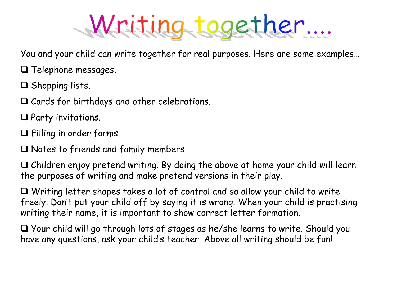## Writing together....

You and your child can write together for real purposes. Here are some examples…

❑ Telephone messages.

❑ Shopping lists.

❑ Cards for birthdays and other celebrations.

❑ Party invitations.

❑ Filling in order forms.

❑ Notes to friends and family members

❑ Children enjoy pretend writing. By doing the above at home your child will learn the purposes of writing and make pretend versions in their play.

❑ Writing letter shapes takes a lot of control and so allow your child to write freely. Don't put your child off by saying it is wrong. When your child is practising writing their name, it is important to show correct letter formation.

❑ Your child will go through lots of stages as he/she learns to write. Should you have any questions, ask your child's teacher. Above all writing should be fun!